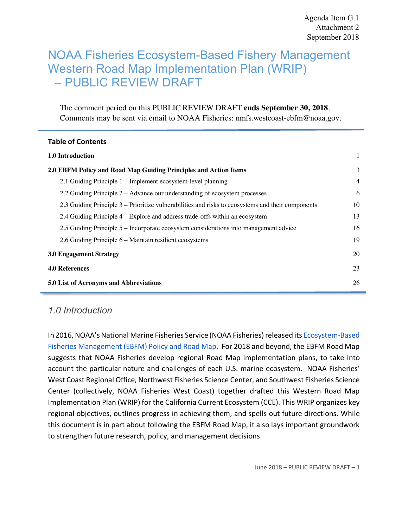# NOAA Fisheries Ecosystem-Based Fishery Management Western Road Map Implementation Plan (WRIP) – PUBLIC REVIEW DRAFT

The comment period on this PUBLIC REVIEW DRAFT **ends September 30, 2018**. Comments may be sent via email to NOAA Fisheries: nmfs.westcoast-ebfm@noaa.gov.

#### **Table of Contents**

| <b>1.0 Introduction</b>                                                                           |                |
|---------------------------------------------------------------------------------------------------|----------------|
| 2.0 EBFM Policy and Road Map Guiding Principles and Action Items                                  | 3              |
| 2.1 Guiding Principle 1 – Implement ecosystem-level planning                                      | $\overline{4}$ |
| 2.2 Guiding Principle 2 – Advance our understanding of ecosystem processes                        | 6              |
| 2.3 Guiding Principle 3 – Prioritize vulnerabilities and risks to ecosystems and their components | 10             |
| 2.4 Guiding Principle 4 – Explore and address trade-offs within an ecosystem                      | 13             |
| 2.5 Guiding Principle 5 – Incorporate ecosystem considerations into management advice             | 16             |
| 2.6 Guiding Principle 6 – Maintain resilient ecosystems                                           | 19             |
| <b>3.0 Engagement Strategy</b>                                                                    | 20             |
| <b>4.0 References</b>                                                                             | 23             |
| 5.0 List of Acronyms and Abbreviations                                                            | 26             |

# *1.0 Introduction*

In 2016, NOAA's National Marine Fisheries Service (NOAA Fisheries) released its Ecosystem-Based suggests that NOAA Fisheries develop regional Road Map implementation plans, to take into account the particular nature and challenges of each U.S. marine ecosystem. NOAA Fisheries' West Coast Regional Office, Northwest Fisheries Science Center, and Southwest Fisheries Science Center (collectively, NOAA Fisheries West Coast) together drafted this Western Road Map Implementation Plan (WRIP) for the California Current Ecosystem (CCE). This WRIP organizes key regional objectives, outlines progress in achieving them, and spells out future directions. While this document is in part about following the EBFM Road Map, it also lays important groundwork to strengthen future research, policy, and management decisions. Fisheries Management (EBFM) Policy and Road Map. For 2018 and beyond, the EBFM Road Map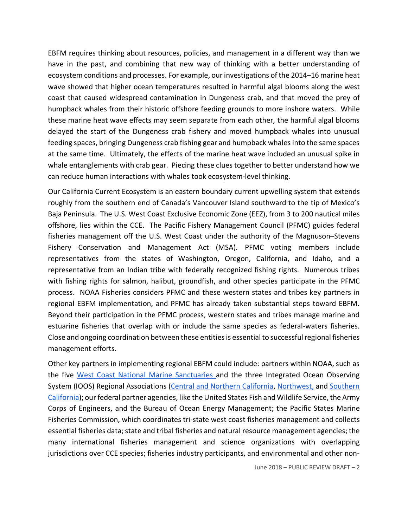EBFM requires thinking about resources, policies, and management in a different way than we have in the past, and combining that new way of thinking with a better understanding of ecosystem conditions and processes. For example, our investigations of the 2014–16 marine heat wave showed that higher ocean temperatures resulted in harmful algal blooms along the west coast that caused widespread contamination in Dungeness crab, and that moved the prey of humpback whales from their historic offshore feeding grounds to more inshore waters. While delayed the start of the Dungeness crab fishery and moved humpback whales into unusual feeding spaces, bringing Dungeness crab fishing gear and humpback whales into the same spaces at the same time. Ultimately, the effects of the marine heat wave included an unusual spike in whale entanglements with crab gear. Piecing these clues together to better understand how we can reduce human interactions with whales took ecosystem-level thinking. these marine heat wave effects may seem separate from each other, the harmful algal blooms

 Our California Current Ecosystem is an eastern boundary current upwelling system that extends roughly from the southern end of Canada's Vancouver Island southward to the tip of Mexico's offshore, lies within the CCE. The Pacific Fishery Management Council (PFMC) guides federal fisheries management off the U.S. West Coast under the authority of the Magnuson–Stevens Fishery Conservation and Management Act (MSA). PFMC voting members include representatives from the states of Washington, Oregon, California, and Idaho, and a representative from an Indian tribe with federally recognized fishing rights. Numerous tribes with fishing rights for salmon, halibut, groundfish, and other species participate in the PFMC process. NOAA Fisheries considers PFMC and these western states and tribes key partners in regional EBFM implementation, and PFMC has already taken substantial steps toward EBFM. Beyond their participation in the PFMC process, western states and tribes manage marine and estuarine fisheries that overlap with or include the same species as federal-waters fisheries. Close and ongoing coordination between these entities is essential to successful regional fisheries Baja Peninsula. The U.S. West Coast Exclusive Economic Zone (EEZ), from 3 to 200 nautical miles management efforts.

 Other key partners in implementing regional EBFM could include: partners within NOAA, such as the five West Coast National Marine Sanctuaries and the three Integrated Ocean Observing System (IOOS) Regional Associations (Central and Northern California, Northwest, and Southern California); our federal partner agencies, like the United States Fish and Wildlife Service, the Army Corps of Engineers, and the Bureau of Ocean Energy Management; the Pacific States Marine Fisheries Commission, which coordinates tri-state west coast fisheries management and collects essential fisheries data; state and tribal fisheries and natural resource management agencies; the many international fisheries management and science organizations with overlapping jurisdictions over CCE species; fisheries industry participants, and environmental and other non-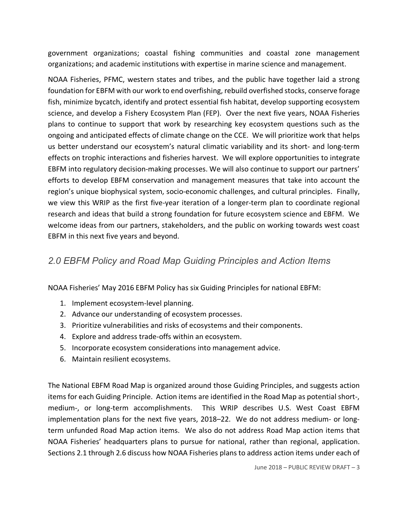government organizations; coastal fishing communities and coastal zone management organizations; and academic institutions with expertise in marine science and management.

 NOAA Fisheries, PFMC, western states and tribes, and the public have together laid a strong foundation for EBFM with our work to end overfishing, rebuild overfished stocks, conserve forage fish, minimize bycatch, identify and protect essential fish habitat, develop supporting ecosystem plans to continue to support that work by researching key ecosystem questions such as the ongoing and anticipated effects of climate change on the CCE. We will prioritize work that helps us better understand our ecosystem's natural climatic variability and its short- and long-term effects on trophic interactions and fisheries harvest. We will explore opportunities to integrate EBFM into regulatory decision-making processes. We will also continue to support our partners' efforts to develop EBFM conservation and management measures that take into account the region's unique biophysical system, socio-economic challenges, and cultural principles. Finally, we view this WRIP as the first five-year iteration of a longer-term plan to coordinate regional research and ideas that build a strong foundation for future ecosystem science and EBFM. We welcome ideas from our partners, stakeholders, and the public on working towards west coast EBFM in this next five years and beyond. science, and develop a Fishery Ecosystem Plan (FEP). Over the next five years, NOAA Fisheries

# *2.0 EBFM Policy and Road Map Guiding Principles and Action Items*

NOAA Fisheries' May 2016 EBFM Policy has six Guiding Principles for national EBFM:

- 1. Implement ecosystem-level planning.
- 2. Advance our understanding of ecosystem processes.
- 3. Prioritize vulnerabilities and risks of ecosystems and their components.
- 4. Explore and address trade-offs within an ecosystem.
- 5. Incorporate ecosystem considerations into management advice.
- 6. Maintain resilient ecosystems.

 The National EBFM Road Map is organized around those Guiding Principles, and suggests action items for each Guiding Principle. Action items are identified in the Road Map as potential short-, medium-, or long-term accomplishments. This WRIP describes U.S. West Coast EBFM implementation plans for the next five years, 2018–22. We do not address medium- or long- NOAA Fisheries' headquarters plans to pursue for national, rather than regional, application. Sections 2.1 through 2.6 discuss how NOAA Fisheries plans to address action items under each of term unfunded Road Map action items. We also do not address Road Map action items that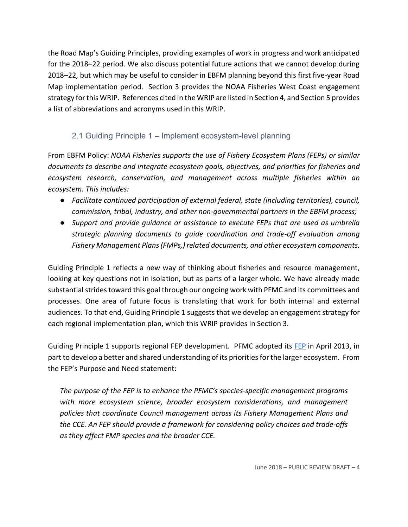the Road Map's Guiding Principles, providing examples of work in progress and work anticipated for the 2018–22 period. We also discuss potential future actions that we cannot develop during 2018–22, but which may be useful to consider in EBFM planning beyond this first five-year Road Map implementation period. Section 3 provides the NOAA Fisheries West Coast engagement strategy for this WRIP. References cited in the WRIP are listed in Section 4, and Section 5 provides a list of abbreviations and acronyms used in this WRIP.

### 2.1 Guiding Principle 1 – Implement ecosystem-level planning

 From EBFM Policy: *NOAA Fisheries supports the use of Fishery Ecosystem Plans (FEPs) or similar documents to describe and integrate ecosystem goals, objectives, and priorities for fisheries and ecosystem research, conservation, and management across multiple fisheries within an ecosystem. This includes:*

- *Facilitate continued participation of external federal, state (including territories), council, commission, tribal, industry, and other non-governmental partners in the EBFM process;*
- *Support and provide guidance or assistance to execute FEPs that are used as umbrella strategic planning documents to guide coordination and trade-off evaluation among Fishery Management Plans(FMPs,) related documents, and other ecosystem components.*

 Guiding Principle 1 reflects a new way of thinking about fisheries and resource management, looking at key questions not in isolation, but as parts of a larger whole. We have already made substantial strides toward this goal through our ongoing work with PFMC and its committees and processes. One area of future focus is translating that work for both internal and external audiences. To that end, Guiding Principle 1 suggests that we develop an engagement strategy for each regional implementation plan, which this WRIP provides in Section 3.

Guiding Principle 1 supports regional FEP development. PFMC adopted its FEP in April 2013, in part to develop a better and shared understanding of its priorities for the larger ecosystem. From the FEP's Purpose and Need statement:

 *The purpose of the FEP is to enhance the PFMC's species-specific management programs with more ecosystem science, broader ecosystem considerations, and management policies that coordinate Council management across its Fishery Management Plans and the CCE. An FEP should provide a framework for considering policy choices and trade-offs as they affect FMP species and the broader CCE.*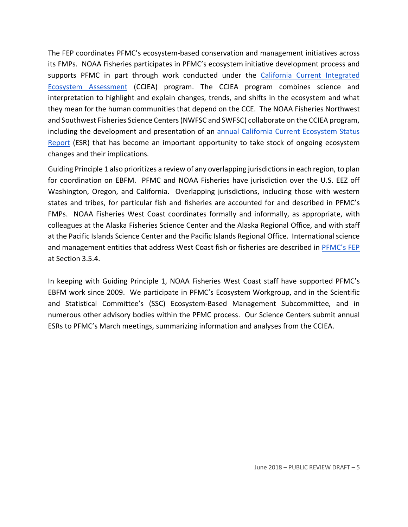The FEP coordinates PFMC's ecosystem-based conservation and management initiatives across its FMPs. NOAA Fisheries participates in PFMC's ecosystem initiative development process and supports PFMC in part through work conducted under the California Current Integrated Ecosystem Assessment (CCIEA) program. The CCIEA program combines science and interpretation to highlight and explain changes, trends, and shifts in the ecosystem and what they mean for the human communities that depend on the CCE. The NOAA Fisheries Northwest and Southwest Fisheries Science Centers(NWFSC and SWFSC) collaborate on the CCIEA program, including the development and presentation of an **annual California Current Ecosystem Status** Report (ESR) that has become an important opportunity to take stock of ongoing ecosystem changes and their implications.

Guiding Principle 1 also prioritizes a review of any overlapping jurisdictions in each region, to plan for coordination on EBFM. PFMC and NOAA Fisheries have jurisdiction over the U.S. EEZ off Washington, Oregon, and California. Overlapping jurisdictions, including those with western states and tribes, for particular fish and fisheries are accounted for and described in PFMC's FMPs. NOAA Fisheries West Coast coordinates formally and informally, as appropriate, with colleagues at the Alaska Fisheries Science Center and the Alaska Regional Office, and with staff at the Pacific Islands Science Center and the Pacific Islands Regional Office. International science and management entities that address West Coast fish or fisheries are described in PFMC's FEP at Section 3.5.4.

 In keeping with Guiding Principle 1, NOAA Fisheries West Coast staff have supported PFMC's EBFM work since 2009. We participate in PFMC's Ecosystem Workgroup, and in the Scientific and Statistical Committee's (SSC) Ecosystem-Based Management Subcommittee, and in numerous other advisory bodies within the PFMC process. Our Science Centers submit annual ESRs to PFMC's March meetings, summarizing information and analyses from the CCIEA.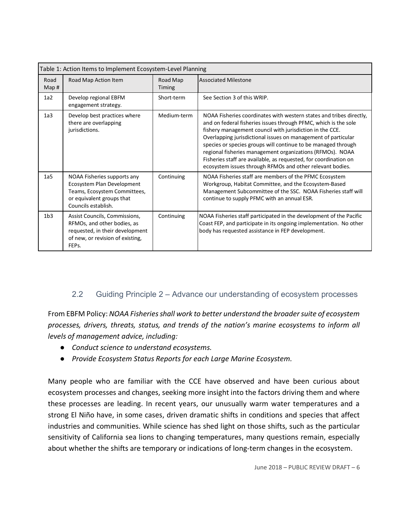| Table 1: Action Items to Implement Ecosystem-Level Planning |                                                                                                                                                           |                    |                                                                                                                                                                                                                                                                                                                                                                                                                                                                                                                                    |
|-------------------------------------------------------------|-----------------------------------------------------------------------------------------------------------------------------------------------------------|--------------------|------------------------------------------------------------------------------------------------------------------------------------------------------------------------------------------------------------------------------------------------------------------------------------------------------------------------------------------------------------------------------------------------------------------------------------------------------------------------------------------------------------------------------------|
| Road<br>Map#                                                | Road Map Action Item                                                                                                                                      | Road Map<br>Timing | <b>Associated Milestone</b>                                                                                                                                                                                                                                                                                                                                                                                                                                                                                                        |
| 1a2                                                         | Develop regional EBFM<br>engagement strategy.                                                                                                             | Short-term         | See Section 3 of this WRIP.                                                                                                                                                                                                                                                                                                                                                                                                                                                                                                        |
| 1a <sub>3</sub>                                             | Develop best practices where<br>there are overlapping<br>jurisdictions.                                                                                   | Medium-term        | NOAA Fisheries coordinates with western states and tribes directly,<br>and on federal fisheries issues through PFMC, which is the sole<br>fishery management council with jurisdiction in the CCE.<br>Overlapping jurisdictional issues on management of particular<br>species or species groups will continue to be managed through<br>regional fisheries management organizations (RFMOs). NOAA<br>Fisheries staff are available, as requested, for coordination on<br>ecosystem issues through RFMOs and other relevant bodies. |
| 1a <sub>5</sub>                                             | NOAA Fisheries supports any<br>Ecosystem Plan Development<br>Teams, Ecosystem Committees,<br>or equivalent groups that<br>Councils establish.             | Continuing         | NOAA Fisheries staff are members of the PFMC Ecosystem<br>Workgroup, Habitat Committee, and the Ecosystem-Based<br>Management Subcommittee of the SSC. NOAA Fisheries staff will<br>continue to supply PFMC with an annual ESR.                                                                                                                                                                                                                                                                                                    |
| 1 <sub>b3</sub>                                             | Assist Councils, Commissions,<br>RFMOs, and other bodies, as<br>requested, in their development<br>of new, or revision of existing,<br>FEP <sub>s</sub> . | Continuing         | NOAA Fisheries staff participated in the development of the Pacific<br>Coast FEP, and participate in its ongoing implementation. No other<br>body has requested assistance in FEP development.                                                                                                                                                                                                                                                                                                                                     |

### 2.2 Guiding Principle 2 – Advance our understanding of ecosystem processes

 From EBFM Policy: *NOAA Fisheriesshall work to better understand the broadersuite of ecosystem processes, drivers, threats, status, and trends of the nation's marine ecosystems to inform all levels of management advice, including:*

- *Conduct science to understand ecosystems.*
- *Provide Ecosystem Status Reports for each Large Marine Ecosystem.*

 Many people who are familiar with the CCE have observed and have been curious about ecosystem processes and changes, seeking more insight into the factors driving them and where strong El Niño have, in some cases, driven dramatic shifts in conditions and species that affect industries and communities. While science has shed light on those shifts, such as the particular sensitivity of California sea lions to changing temperatures, many questions remain, especially about whether the shifts are temporary or indications of long-term changes in the ecosystem. these processes are leading. In recent years, our unusually warm water temperatures and a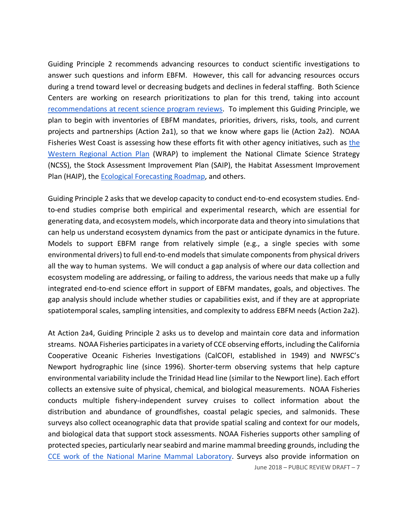Guiding Principle 2 recommends advancing resources to conduct scientific investigations to answer such questions and inform EBFM. However, this call for advancing resources occurs during a trend toward level or decreasing budgets and declines in federal staffing. Both Science Centers are working on research prioritizations to plan for this trend, taking into account recommendations at recent science program reviews. To implement this Guiding Principle, we plan to begin with inventories of EBFM mandates, priorities, drivers, risks, tools, and current projects and partnerships (Action 2a1), so that we know where gaps lie (Action 2a2). NOAA Fisheries West Coast is assessing how these efforts fit with other agency initiatives, such as the Western Regional Action Plan</u> (WRAP) to implement the National Climate Science Strategy (NCSS), the Stock Assessment Improvement Plan (SAIP), the Habitat Assessment Improvement Plan (HAIP), the **Ecological Forecasting Roadmap**, and others.

 Guiding Principle 2 asks that we develop capacity to conduct end-to-end ecosystem studies. End- to-end studies comprise both empirical and experimental research, which are essential for generating data, and ecosystem models, which incorporate data and theory into simulationsthat can help us understand ecosystem dynamics from the past or anticipate dynamics in the future. Models to support EBFM range from relatively simple (e.g., a single species with some environmental drivers) to full end-to-end models that simulate components from physical drivers ecosystem modeling are addressing, or failing to address, the various needs that make up a fully integrated end-to-end science effort in support of EBFM mandates, goals, and objectives. The gap analysis should include whether studies or capabilities exist, and if they are at appropriate spatiotemporal scales, sampling intensities, and complexity to address EBFM needs (Action 2a2). all the way to human systems. We will conduct a gap analysis of where our data collection and

 June 2018 – PUBLIC REVIEW DRAFT – 7 At Action 2a4, Guiding Principle 2 asks us to develop and maintain core data and information Cooperative Oceanic Fisheries Investigations (CalCOFI, established in 1949) and NWFSC's Newport hydrographic line (since 1996). Shorter-term observing systems that help capture environmental variability include the Trinidad Head line (similar to the Newport line). Each effort collects an extensive suite of physical, chemical, and biological measurements. NOAA Fisheries conducts multiple fishery-independent survey cruises to collect information about the distribution and abundance of groundfishes, coastal pelagic species, and salmonids. These surveys also collect oceanographic data that provide spatial scaling and context for our models, and biological data that support stock assessments. NOAA Fisheries supports other sampling of protected species, particularly near seabird and marine mammal breeding grounds, including the CCE work of the National Marine Mammal Laboratory. Surveys also provide information on streams. NOAA Fisheries participates in a variety of CCE observing efforts, including the California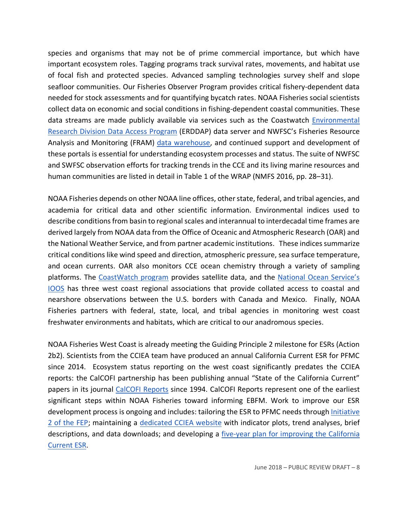species and organisms that may not be of prime commercial importance, but which have important ecosystem roles. Tagging programs track survival rates, movements, and habitat use of focal fish and protected species. Advanced sampling technologies survey shelf and slope seafloor communities. Our Fisheries Observer Program provides critical fishery-dependent data needed for stock assessments and for quantifying bycatch rates. NOAA Fisheries social scientists collect data on economic and social conditions in fishing-dependent coastal communities. These data streams are made publicly available via services such as the Coastwatch *Environmental* Research Division Data Access Program (ERDDAP) data server and NWFSC's Fisheries Resource Analysis and Monitoring (FRAM) data warehouse, and continued support and development of these portals is essential for understanding ecosystem processes and status. The suite of NWFSC and SWFSC observation efforts for tracking trends in the CCE and its living marine resources and human communities are listed in detail in Table 1 of the WRAP (NMFS 2016, pp. 28–31).

NOAA Fisheries depends on other NOAA line offices, other state, federal, and tribal agencies, and academia for critical data and other scientific information. Environmental indices used to describe conditions from basin to regional scales and interannual to interdecadal time frames are derived largely from NOAA data from the Office of Oceanic and Atmospheric Research (OAR) and the National Weather Service, and from partner academic institutions. These indices summarize critical conditions like wind speed and direction, atmospheric pressure, sea surface temperature, and ocean currents. OAR also monitors CCE ocean chemistry through a variety of sampling platforms. The CoastWatch program provides satellite data, and the National Ocean Service's **IOOS** has three west coast regional associations that provide collated access to coastal and nearshore observations between the U.S. borders with Canada and Mexico. Finally, NOAA Fisheries partners with federal, state, local, and tribal agencies in monitoring west coast freshwater environments and habitats, which are critical to our anadromous species.

 2b2). Scientists from the CCIEA team have produced an annual California Current ESR for PFMC since 2014. Ecosystem status reporting on the west coast significantly predates the CCIEA reports: the CalCOFI partnership has been publishing annual "State of the California Current" papers in its journal CalCOFI Reports since 1994. CalCOFI Reports represent one of the earliest significant steps within NOAA Fisheries toward informing EBFM. Work to improve our ESR development process is ongoing and includes: tailoring the ESR to PFMC needs through *Initiative* 2 of the FEP; maintaining a dedicated CCIEA website with indicator plots, trend analyses, brief descriptions, and data downloads; and developing a five-year plan for improving the California NOAA Fisheries West Coast is already meeting the Guiding Principle 2 milestone for ESRs (Action Current ESR.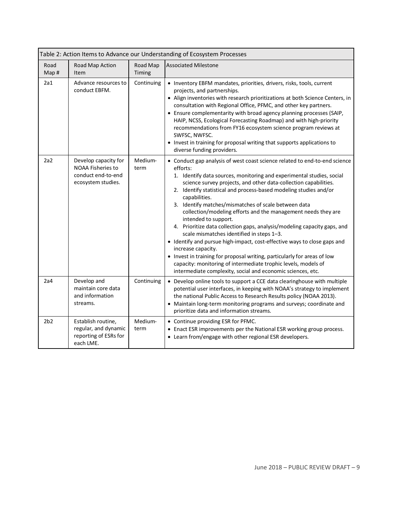| Table 2: Action Items to Advance our Understanding of Ecosystem Processes |                                                                                              |                    |                                                                                                                                                                                                                                                                                                                                                                                                                                                                                                                                                                                                                                                                                                                                                                                                                                                                                                                    |
|---------------------------------------------------------------------------|----------------------------------------------------------------------------------------------|--------------------|--------------------------------------------------------------------------------------------------------------------------------------------------------------------------------------------------------------------------------------------------------------------------------------------------------------------------------------------------------------------------------------------------------------------------------------------------------------------------------------------------------------------------------------------------------------------------------------------------------------------------------------------------------------------------------------------------------------------------------------------------------------------------------------------------------------------------------------------------------------------------------------------------------------------|
| Road<br>Map#                                                              | Road Map Action<br>Item                                                                      | Road Map<br>Timing | <b>Associated Milestone</b>                                                                                                                                                                                                                                                                                                                                                                                                                                                                                                                                                                                                                                                                                                                                                                                                                                                                                        |
| 2a1                                                                       | Advance resources to<br>conduct EBFM.                                                        | Continuing         | • Inventory EBFM mandates, priorities, drivers, risks, tools, current<br>projects, and partnerships.<br>• Align inventories with research prioritizations at both Science Centers, in<br>consultation with Regional Office, PFMC, and other key partners.<br>• Ensure complementarity with broad agency planning processes (SAIP,<br>HAIP, NCSS, Ecological Forecasting Roadmap) and with high-priority<br>recommendations from FY16 ecosystem science program reviews at<br>SWFSC, NWFSC.<br>• Invest in training for proposal writing that supports applications to<br>diverse funding providers.                                                                                                                                                                                                                                                                                                                |
| 2a2                                                                       | Develop capacity for<br><b>NOAA Fisheries to</b><br>conduct end-to-end<br>ecosystem studies. | Medium-<br>term    | • Conduct gap analysis of west coast science related to end-to-end science<br>efforts:<br>1. Identify data sources, monitoring and experimental studies, social<br>science survey projects, and other data-collection capabilities.<br>2. Identify statistical and process-based modeling studies and/or<br>capabilities.<br>3. Identify matches/mismatches of scale between data<br>collection/modeling efforts and the management needs they are<br>intended to support.<br>4. Prioritize data collection gaps, analysis/modeling capacity gaps, and<br>scale mismatches identified in steps 1-3.<br>• Identify and pursue high-impact, cost-effective ways to close gaps and<br>increase capacity.<br>• Invest in training for proposal writing, particularly for areas of low<br>capacity: monitoring of intermediate trophic levels, models of<br>intermediate complexity, social and economic sciences, etc. |
| 2a4                                                                       | Develop and<br>maintain core data<br>and information<br>streams.                             | Continuing         | • Develop online tools to support a CCE data clearinghouse with multiple<br>potential user interfaces, in keeping with NOAA's strategy to implement<br>the national Public Access to Research Results policy (NOAA 2013).<br>• Maintain long-term monitoring programs and surveys; coordinate and<br>prioritize data and information streams.                                                                                                                                                                                                                                                                                                                                                                                                                                                                                                                                                                      |
| 2 <sub>b2</sub>                                                           | Establish routine,<br>regular, and dynamic<br>reporting of ESRs for<br>each LME.             | Medium-<br>term    | • Continue providing ESR for PFMC.<br>• Enact ESR improvements per the National ESR working group process.<br>• Learn from/engage with other regional ESR developers.                                                                                                                                                                                                                                                                                                                                                                                                                                                                                                                                                                                                                                                                                                                                              |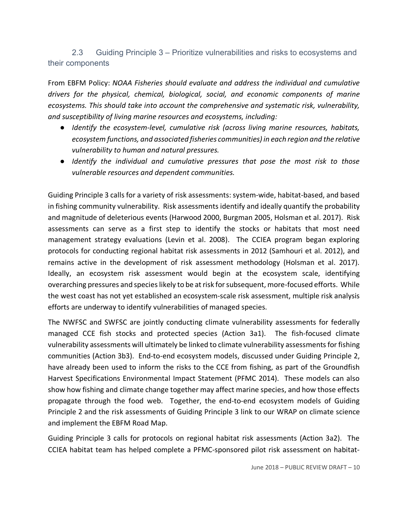2.3 Guiding Principle 3 – Prioritize vulnerabilities and risks to ecosystems and their components

 From EBFM Policy: *NOAA Fisheries should evaluate and address the individual and cumulative drivers for the physical, chemical, biological, social, and economic components of marine ecosystems. This should take into account the comprehensive and systematic risk, vulnerability, and susceptibility of living marine resources and ecosystems, including:*

- *Identify the ecosystem-level, cumulative risk (across living marine resources, habitats, ecosystem functions, and associated fisheries communities) in each region and the relative vulnerability to human and natural pressures.*
- *Identify the individual and cumulative pressures that pose the most risk to those vulnerable resources and dependent communities.*

Guiding Principle 3 calls for a variety of risk assessments: system-wide, habitat-based, and based in fishing community vulnerability. Risk assessments identify and ideally quantify the probability and magnitude of deleterious events (Harwood 2000, Burgman 2005, Holsman et al. 2017). Risk assessments can serve as a first step to identify the stocks or habitats that most need management strategy evaluations (Levin et al. 2008). The CCIEA program began exploring protocols for conducting regional habitat risk assessments in 2012 (Samhouri et al. 2012), and remains active in the development of risk assessment methodology (Holsman et al. 2017). Ideally, an ecosystem risk assessment would begin at the ecosystem scale, identifying overarching pressures and species likely to be at risk for subsequent, more-focused efforts. While the west coast has not yet established an ecosystem-scale risk assessment, multiple risk analysis efforts are underway to identify vulnerabilities of managed species.

 The NWFSC and SWFSC are jointly conducting climate vulnerability assessments for federally managed CCE fish stocks and protected species (Action 3a1). The fish-focused climate vulnerability assessments will ultimately be linked to climate vulnerability assessmentsforfishing communities (Action 3b3). End-to-end ecosystem models, discussed under Guiding Principle 2, have already been used to inform the risks to the CCE from fishing, as part of the Groundfish Harvest Specifications Environmental Impact Statement (PFMC 2014). These models can also show how fishing and climate change together may affect marine species, and how those effects propagate through the food web. Together, the end-to-end ecosystem models of Guiding and implement the EBFM Road Map. Principle 2 and the risk assessments of Guiding Principle 3 link to our WRAP on climate science

 Guiding Principle 3 calls for protocols on regional habitat risk assessments (Action 3a2). The CCIEA habitat team has helped complete a PFMC-sponsored pilot risk assessment on habitat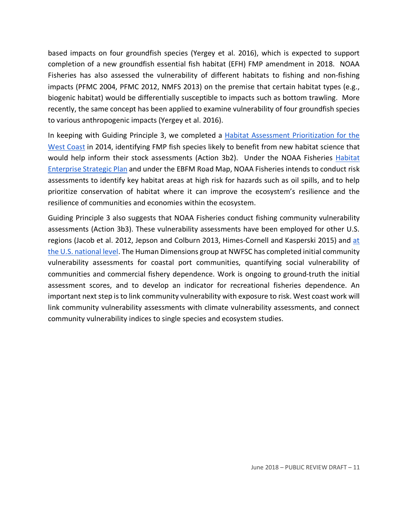based impacts on four groundfish species (Yergey et al. 2016), which is expected to support completion of a new groundfish essential fish habitat (EFH) FMP amendment in 2018. NOAA Fisheries has also assessed the vulnerability of different habitats to fishing and non-fishing impacts (PFMC 2004, PFMC 2012, NMFS 2013) on the premise that certain habitat types (e.g., biogenic habitat) would be differentially susceptible to impacts such as bottom trawling. More recently, the same concept has been applied to examine vulnerability of four groundfish species to various anthropogenic impacts (Yergey et al. 2016).

In keeping with Guiding Principle 3, we completed a **Habitat Assessment Prioritization for the** West Coast in 2014, identifying FMP fish species likely to benefit from new habitat science that would help inform their stock assessments (Action 3b2). Under the NOAA Fisheries Habitat Enterprise Strategic Plan and under the EBFM Road Map, NOAA Fisheries intends to conduct risk assessments to identify key habitat areas at high risk for hazards such as oil spills, and to help prioritize conservation of habitat where it can improve the ecosystem's resilience and the resilience of communities and economies within the ecosystem.

 Guiding Principle 3 also suggests that NOAA Fisheries conduct fishing community vulnerability assessments (Action 3b3). These vulnerability assessments have been employed for other U.S. regions (Jacob et al. 2012, Jepson and Colburn 2013, Himes-Cornell and Kasperski 2015) and at the U.S. national level. The Human Dimensions group at NWFSC has completed initial community vulnerability assessments for coastal port communities, quantifying social vulnerability of communities and commercial fishery dependence. Work is ongoing to ground-truth the initial assessment scores, and to develop an indicator for recreational fisheries dependence. An important next step is to link community vulnerability with exposure to risk. West coast work will link community vulnerability assessments with climate vulnerability assessments, and connect community vulnerability indices to single species and ecosystem studies.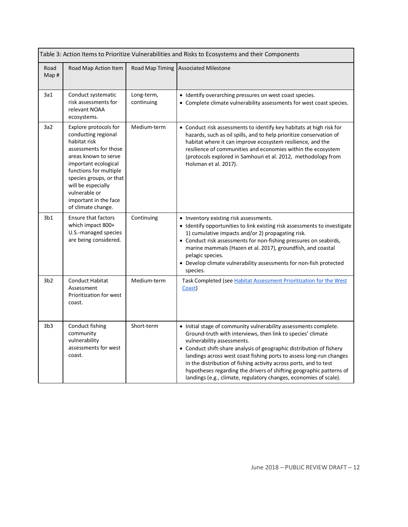|                 | Table 3: Action Items to Prioritize Vulnerabilities and Risks to Ecosystems and their Components                                                                                                                                                                                 |                          |                                                                                                                                                                                                                                                                                                                                                                                                                                                                                                                               |  |
|-----------------|----------------------------------------------------------------------------------------------------------------------------------------------------------------------------------------------------------------------------------------------------------------------------------|--------------------------|-------------------------------------------------------------------------------------------------------------------------------------------------------------------------------------------------------------------------------------------------------------------------------------------------------------------------------------------------------------------------------------------------------------------------------------------------------------------------------------------------------------------------------|--|
| Road<br>Map#    | Road Map Action Item                                                                                                                                                                                                                                                             |                          | Road Map Timing Associated Milestone                                                                                                                                                                                                                                                                                                                                                                                                                                                                                          |  |
| 3a1             | Conduct systematic<br>risk assessments for<br>relevant NOAA<br>ecosystems.                                                                                                                                                                                                       | Long-term,<br>continuing | • Identify overarching pressures on west coast species.<br>• Complete climate vulnerability assessments for west coast species.                                                                                                                                                                                                                                                                                                                                                                                               |  |
| 3a2             | Explore protocols for<br>conducting regional<br>habitat risk<br>assessments for those<br>areas known to serve<br>important ecological<br>functions for multiple<br>species groups, or that<br>will be especially<br>vulnerable or<br>important in the face<br>of climate change. | Medium-term              | • Conduct risk assessments to identify key habitats at high risk for<br>hazards, such as oil spills, and to help prioritize conservation of<br>habitat where it can improve ecosystem resilience, and the<br>resilience of communities and economies within the ecosystem<br>(protocols explored in Samhouri et al. 2012, methodology from<br>Holsman et al. 2017).                                                                                                                                                           |  |
| 3 <sub>b1</sub> | <b>Ensure that factors</b><br>which impact 800+<br>U.S.-managed species<br>are being considered.                                                                                                                                                                                 | Continuing               | • Inventory existing risk assessments.<br>• Identify opportunities to link existing risk assessments to investigate<br>1) cumulative impacts and/or 2) propagating risk.<br>• Conduct risk assessments for non-fishing pressures on seabirds,<br>marine mammals (Hazen et al. 2017), groundfish, and coastal<br>pelagic species.<br>• Develop climate vulnerability assessments for non-fish protected<br>species.                                                                                                            |  |
| 3 <sub>b2</sub> | <b>Conduct Habitat</b><br>Assessment<br>Prioritization for west<br>coast.                                                                                                                                                                                                        | Medium-term              | Task Completed (see Habitat Assessment Prioritization for the West<br>Coast)                                                                                                                                                                                                                                                                                                                                                                                                                                                  |  |
| 3 <sub>b3</sub> | Conduct fishing<br>community<br>vulnerability<br>assessments for west<br>coast.                                                                                                                                                                                                  | Short-term               | • Initial stage of community vulnerability assessments complete.<br>Ground-truth with interviews, then link to species' climate<br>vulnerability assessments.<br>• Conduct shift-share analysis of geographic distribution of fishery<br>landings across west coast fishing ports to assess long-run changes<br>in the distribution of fishing activity across ports, and to test<br>hypotheses regarding the drivers of shifting geographic patterns of<br>landings (e.g., climate, regulatory changes, economies of scale). |  |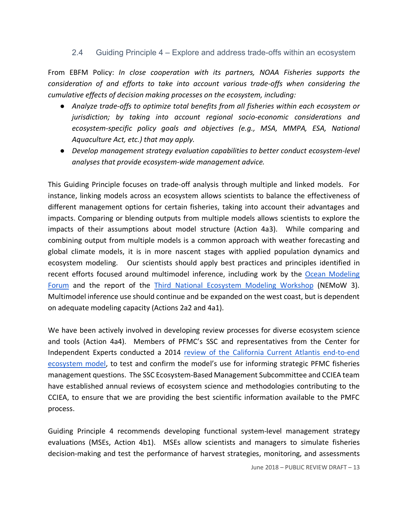#### 2.4 Guiding Principle 4 – Explore and address trade-offs within an ecosystem

 From EBFM Policy: *In close cooperation with its partners, NOAA Fisheries supports the consideration of and efforts to take into account various trade-offs when considering the cumulative effects of decision making processes on the ecosystem, including:*

- *jurisdiction; by taking into account regional socio-economic considerations and ecosystem-specific policy goals and objectives (e.g., MSA, MMPA, ESA, National Aquaculture Act, etc.) that may apply.* ● *Analyze trade-offs to optimize total benefits from all fisheries within each ecosystem or*
- *Develop management strategy evaluation capabilities to better conduct ecosystem-level analyses that provide ecosystem-wide management advice.*

 This Guiding Principle focuses on trade-off analysis through multiple and linked models. For instance, linking models across an ecosystem allows scientists to balance the effectiveness of different management options for certain fisheries, taking into account their advantages and impacts. Comparing or blending outputs from multiple models allows scientists to explore the impacts of their assumptions about model structure (Action 4a3). While comparing and combining output from multiple models is a common approach with weather forecasting and global climate models, it is in more nascent stages with applied population dynamics and ecosystem modeling. Our scientists should apply best practices and principles identified in recent efforts focused around multimodel inference, including work by the Ocean Modeling Forum and the report of the Third National Ecosystem Modeling Workshop (NEMoW 3). Multimodel inference use should continue and be expanded on the west coast, but is dependent on adequate modeling capacity (Actions 2a2 and 4a1).

 We have been actively involved in developing review processes for diverse ecosystem science Independent Experts conducted a 2014 review of the California Current Atlantis end-to-end ecosystem model, to test and confirm the model's use for informing strategic PFMC fisheries management questions. The SSC Ecosystem-Based Management Subcommittee and CCIEA team have established annual reviews of ecosystem science and methodologies contributing to the CCIEA, to ensure that we are providing the best scientific information available to the PMFC and tools (Action 4a4). Members of PFMC's SSC and representatives from the Center for process.

 Guiding Principle 4 recommends developing functional system-level management strategy evaluations (MSEs, Action 4b1). MSEs allow scientists and managers to simulate fisheries decision-making and test the performance of harvest strategies, monitoring, and assessments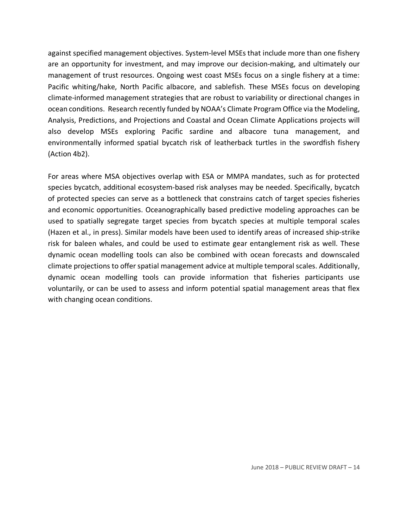against specified management objectives. System-level MSEs that include more than one fishery are an opportunity for investment, and may improve our decision-making, and ultimately our management of trust resources. Ongoing west coast MSEs focus on a single fishery at a time: Pacific whiting/hake, North Pacific albacore, and sablefish. These MSEs focus on developing climate-informed management strategies that are robust to variability or directional changes in ocean conditions. Research recently funded by NOAA's Climate Program Office via the Modeling, Analysis, Predictions, and Projections and Coastal and Ocean Climate Applications projects will also develop MSEs exploring Pacific sardine and albacore tuna management, and environmentally informed spatial bycatch risk of leatherback turtles in the swordfish fishery (Action 4b2).

 For areas where MSA objectives overlap with ESA or MMPA mandates, such as for protected species bycatch, additional ecosystem-based risk analyses may be needed. Specifically, bycatch of protected species can serve as a bottleneck that constrains catch of target species fisheries and economic opportunities. Oceanographically based predictive modeling approaches can be used to spatially segregate target species from bycatch species at multiple temporal scales (Hazen et al., in press). Similar models have been used to identify areas of increased ship-strike risk for baleen whales, and could be used to estimate gear entanglement risk as well. These dynamic ocean modelling tools can also be combined with ocean forecasts and downscaled climate projections to offer spatial management advice at multiple temporal scales. Additionally, dynamic ocean modelling tools can provide information that fisheries participants use voluntarily, or can be used to assess and inform potential spatial management areas that flex with changing ocean conditions.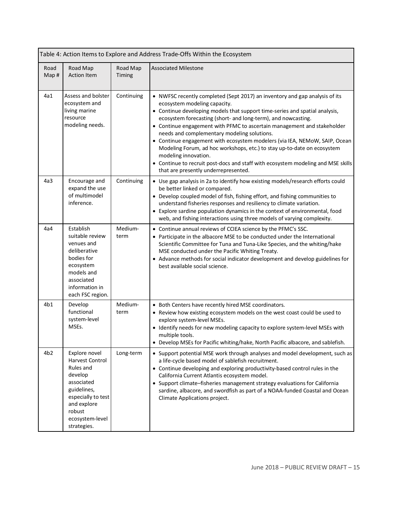|                 | Table 4: Action Items to Explore and Address Trade-Offs Within the Ecosystem                                                                                                  |                    |                                                                                                                                                                                                                                                                                                                                                                                                                                                                                                                                                                                                                                                                                                    |  |
|-----------------|-------------------------------------------------------------------------------------------------------------------------------------------------------------------------------|--------------------|----------------------------------------------------------------------------------------------------------------------------------------------------------------------------------------------------------------------------------------------------------------------------------------------------------------------------------------------------------------------------------------------------------------------------------------------------------------------------------------------------------------------------------------------------------------------------------------------------------------------------------------------------------------------------------------------------|--|
| Road<br>Map#    | Road Map<br><b>Action Item</b>                                                                                                                                                | Road Map<br>Timing | <b>Associated Milestone</b>                                                                                                                                                                                                                                                                                                                                                                                                                                                                                                                                                                                                                                                                        |  |
| 4a1             | Assess and bolster<br>ecosystem and<br>living marine<br>resource<br>modeling needs.                                                                                           | Continuing         | • NWFSC recently completed (Sept 2017) an inventory and gap analysis of its<br>ecosystem modeling capacity.<br>• Continue developing models that support time-series and spatial analysis,<br>ecosystem forecasting (short- and long-term), and nowcasting.<br>• Continue engagement with PFMC to ascertain management and stakeholder<br>needs and complementary modeling solutions.<br>• Continue engagement with ecosystem modelers (via IEA, NEMoW, SAIP, Ocean<br>Modeling Forum, ad hoc workshops, etc.) to stay up-to-date on ecosystem<br>modeling innovation.<br>• Continue to recruit post-docs and staff with ecosystem modeling and MSE skills<br>that are presently underrepresented. |  |
| 4a3             | Encourage and<br>expand the use<br>of multimodel<br>inference.                                                                                                                | Continuing         | • Use gap analysis in 2a to identify how existing models/research efforts could<br>be better linked or compared.<br>• Develop coupled model of fish, fishing effort, and fishing communities to<br>understand fisheries responses and resiliency to climate variation.<br>• Explore sardine population dynamics in the context of environmental, food<br>web, and fishing interactions using three models of varying complexity.                                                                                                                                                                                                                                                                   |  |
| 4a4             | Establish<br>suitable review<br>venues and<br>deliberative<br>bodies for<br>ecosystem<br>models and<br>associated<br>information in<br>each FSC region.                       | Medium-<br>term    | • Continue annual reviews of CCIEA science by the PFMC's SSC.<br>• Participate in the albacore MSE to be conducted under the International<br>Scientific Committee for Tuna and Tuna-Like Species, and the whiting/hake<br>MSE conducted under the Pacific Whiting Treaty.<br>• Advance methods for social indicator development and develop guidelines for<br>best available social science.                                                                                                                                                                                                                                                                                                      |  |
| 4b1             | Develop<br>functional<br>system-level<br>MSEs.                                                                                                                                | Medium-<br>term    | • Both Centers have recently hired MSE coordinators.<br>• Review how existing ecosystem models on the west coast could be used to<br>explore system-level MSEs.<br>• Identify needs for new modeling capacity to explore system-level MSEs with<br>multiple tools.<br>• Develop MSEs for Pacific whiting/hake, North Pacific albacore, and sablefish.                                                                                                                                                                                                                                                                                                                                              |  |
| 4 <sub>b2</sub> | Explore novel<br><b>Harvest Control</b><br>Rules and<br>develop<br>associated<br>guidelines,<br>especially to test<br>and explore<br>robust<br>ecosystem-level<br>strategies. | Long-term          | • Support potential MSE work through analyses and model development, such as<br>a life-cycle based model of sablefish recruitment.<br>• Continue developing and exploring productivity-based control rules in the<br>California Current Atlantis ecosystem model.<br>• Support climate-fisheries management strategy evaluations for California<br>sardine, albacore, and swordfish as part of a NOAA-funded Coastal and Ocean<br>Climate Applications project.                                                                                                                                                                                                                                    |  |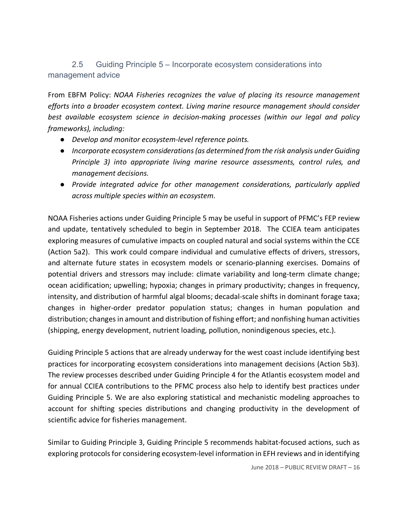### 2.5 Guiding Principle 5 – Incorporate ecosystem considerations into management advice

 From EBFM Policy: *NOAA Fisheries recognizes the value of placing its resource management efforts into a broader ecosystem context. Living marine resource management should consider best available ecosystem science in decision-making processes (within our legal and policy frameworks), including:*

- *Develop and monitor ecosystem-level reference points.*
- *Principle 3) into appropriate living marine resource assessments, control rules, and* ● *Incorporate ecosystem considerations (as determined from the risk analysis under Guiding management decisions.*
- *Provide integrated advice for other management considerations, particularly applied across multiple species within an ecosystem.*

 NOAA Fisheries actions under Guiding Principle 5 may be useful in support of PFMC's FEP review and update, tentatively scheduled to begin in September 2018. The CCIEA team anticipates exploring measures of cumulative impacts on coupled natural and social systems within the CCE (Action 5a2). This work could compare individual and cumulative effects of drivers, stressors, and alternate future states in ecosystem models or scenario-planning exercises. Domains of potential drivers and stressors may include: climate variability and long-term climate change; ocean acidification; upwelling; hypoxia; changes in primary productivity; changes in frequency, intensity, and distribution of harmful algal blooms; decadal-scale shifts in dominant forage taxa; changes in higher-order predator population status; changes in human population and distribution; changes in amount and distribution of fishing effort; and nonfishing human activities (shipping, energy development, nutrient loading, pollution, nonindigenous species, etc.).

 Guiding Principle 5 actions that are already underway for the west coast include identifying best practices for incorporating ecosystem considerations into management decisions (Action 5b3). The review processes described under Guiding Principle 4 for the Atlantis ecosystem model and for annual CCIEA contributions to the PFMC process also help to identify best practices under Guiding Principle 5. We are also exploring statistical and mechanistic modeling approaches to account for shifting species distributions and changing productivity in the development of scientific advice for fisheries management.

 Similar to Guiding Principle 3, Guiding Principle 5 recommends habitat-focused actions, such as exploring protocols for considering ecosystem-level information in EFH reviews and in identifying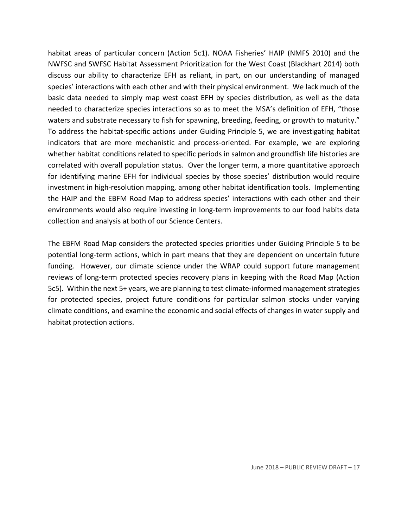habitat areas of particular concern (Action 5c1). NOAA Fisheries' HAIP (NMFS 2010) and the NWFSC and SWFSC Habitat Assessment Prioritization for the West Coast (Blackhart 2014) both discuss our ability to characterize EFH as reliant, in part, on our understanding of managed species' interactions with each other and with their physical environment. We lack much of the basic data needed to simply map west coast EFH by species distribution, as well as the data waters and substrate necessary to fish for spawning, breeding, feeding, or growth to maturity." To address the habitat-specific actions under Guiding Principle 5, we are investigating habitat indicators that are more mechanistic and process-oriented. For example, we are exploring whether habitat conditions related to specific periods in salmon and groundfish life histories are correlated with overall population status. Over the longer term, a more quantitative approach for identifying marine EFH for individual species by those species' distribution would require investment in high-resolution mapping, among other habitat identification tools. Implementing the HAIP and the EBFM Road Map to address species' interactions with each other and their environments would also require investing in long-term improvements to our food habits data collection and analysis at both of our Science Centers. needed to characterize species interactions so as to meet the MSA's definition of EFH, "those

 The EBFM Road Map considers the protected species priorities under Guiding Principle 5 to be potential long-term actions, which in part means that they are dependent on uncertain future funding. However, our climate science under the WRAP could support future management reviews of long-term protected species recovery plans in keeping with the Road Map (Action 5c5). Within the next 5+ years, we are planning to test climate-informed management strategies for protected species, project future conditions for particular salmon stocks under varying climate conditions, and examine the economic and social effects of changes in water supply and habitat protection actions.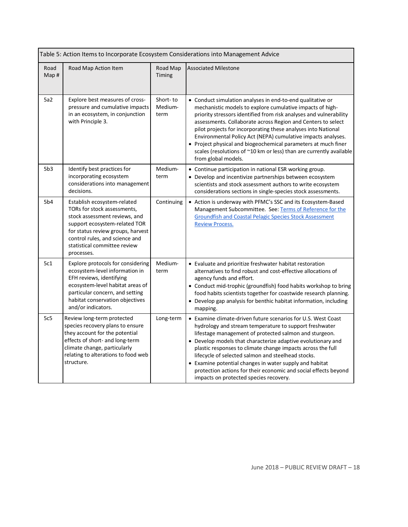| Table 5: Action Items to Incorporate Ecosystem Considerations into Management Advice |                                                                                                                                                                                                                                                   |                             |                                                                                                                                                                                                                                                                                                                                                                                                                                                                                                                                                                |
|--------------------------------------------------------------------------------------|---------------------------------------------------------------------------------------------------------------------------------------------------------------------------------------------------------------------------------------------------|-----------------------------|----------------------------------------------------------------------------------------------------------------------------------------------------------------------------------------------------------------------------------------------------------------------------------------------------------------------------------------------------------------------------------------------------------------------------------------------------------------------------------------------------------------------------------------------------------------|
| Road<br>Map #                                                                        | Road Map Action Item                                                                                                                                                                                                                              | Road Map<br>Timing          | <b>Associated Milestone</b>                                                                                                                                                                                                                                                                                                                                                                                                                                                                                                                                    |
| 5a2                                                                                  | Explore best measures of cross-<br>pressure and cumulative impacts<br>in an ecosystem, in conjunction<br>with Principle 3.                                                                                                                        | Short-to<br>Medium-<br>term | • Conduct simulation analyses in end-to-end qualitative or<br>mechanistic models to explore cumulative impacts of high-<br>priority stressors identified from risk analyses and vulnerability<br>assessments. Collaborate across Region and Centers to select<br>pilot projects for incorporating these analyses into National<br>Environmental Policy Act (NEPA) cumulative impacts analyses.<br>• Project physical and biogeochemical parameters at much finer<br>scales (resolutions of ~10 km or less) than are currently available<br>from global models. |
| 5b3                                                                                  | Identify best practices for<br>incorporating ecosystem<br>considerations into management<br>decisions.                                                                                                                                            | Medium-<br>term             | • Continue participation in national ESR working group.<br>• Develop and incentivize partnerships between ecosystem<br>scientists and stock assessment authors to write ecosystem<br>considerations sections in single-species stock assessments.                                                                                                                                                                                                                                                                                                              |
| 5b4                                                                                  | Establish ecosystem-related<br>TORs for stock assessments,<br>stock assessment reviews, and<br>support ecosystem-related TOR<br>for status review groups, harvest<br>control rules, and science and<br>statistical committee review<br>processes. | Continuing                  | • Action is underway with PFMC's SSC and its Ecosystem-Based<br>Management Subcommittee. See: Terms of Reference for the<br><b>Groundfish and Coastal Pelagic Species Stock Assessment</b><br><b>Review Process.</b>                                                                                                                                                                                                                                                                                                                                           |
| 5c1                                                                                  | Explore protocols for considering<br>ecosystem-level information in<br>EFH reviews, identifying<br>ecosystem-level habitat areas of<br>particular concern, and setting<br>habitat conservation objectives<br>and/or indicators.                   | Medium-<br>term             | • Evaluate and prioritize freshwater habitat restoration<br>alternatives to find robust and cost-effective allocations of<br>agency funds and effort.<br>• Conduct mid-trophic (groundfish) food habits workshop to bring<br>food habits scientists together for coastwide research planning.<br>• Develop gap analysis for benthic habitat information, including<br>mapping.                                                                                                                                                                                 |
| 5c5                                                                                  | Review long-term protected<br>species recovery plans to ensure<br>they account for the potential<br>effects of short- and long-term<br>climate change, particularly<br>relating to alterations to food web<br>structure.                          | Long-term                   | • Examine climate-driven future scenarios for U.S. West Coast<br>hydrology and stream temperature to support freshwater<br>lifestage management of protected salmon and sturgeon.<br>• Develop models that characterize adaptive evolutionary and<br>plastic responses to climate change impacts across the full<br>lifecycle of selected salmon and steelhead stocks.<br>• Examine potential changes in water supply and habitat<br>protection actions for their economic and social effects beyond<br>impacts on protected species recovery.                 |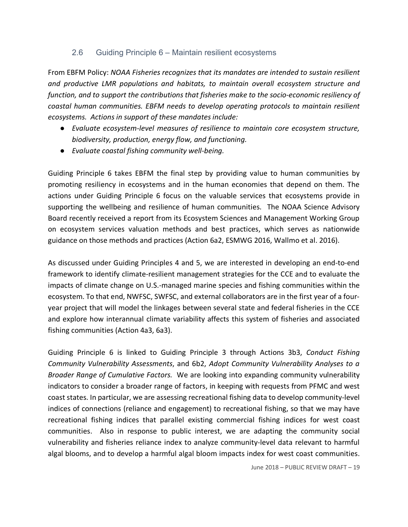#### 2.6 Guiding Principle 6 – Maintain resilient ecosystems

 From EBFM Policy: *NOAA Fisheries recognizes that its mandates are intended to sustain resilient and productive LMR populations and habitats, to maintain overall ecosystem structure and function, and to support the contributions that fisheries make to the socio-economic resiliency of coastal human communities. EBFM needs to develop operating protocols to maintain resilient ecosystems. Actions in support of these mandates include:*

- *Evaluate ecosystem-level measures of resilience to maintain core ecosystem structure, biodiversity, production, energy flow, and functioning.*
- *Evaluate coastal fishing community well-being.*

 Guiding Principle 6 takes EBFM the final step by providing value to human communities by promoting resiliency in ecosystems and in the human economies that depend on them. The actions under Guiding Principle 6 focus on the valuable services that ecosystems provide in supporting the wellbeing and resilience of human communities. The NOAA Science Advisory Board recently received a report from its Ecosystem Sciences and Management Working Group on ecosystem services valuation methods and best practices, which serves as nationwide guidance on those methods and practices (Action 6a2, ESMWG 2016, Wallmo et al. 2016).

 As discussed under Guiding Principles 4 and 5, we are interested in developing an end-to-end framework to identify climate-resilient management strategies for the CCE and to evaluate the impacts of climate change on U.S.-managed marine species and fishing communities within the and explore how interannual climate variability affects this system of fisheries and associated fishing communities (Action 4a3, 6a3). ecosystem. To that end, NWFSC, SWFSC, and external collaborators are in the first year of a fouryear project that will model the linkages between several state and federal fisheries in the CCE

 Guiding Principle 6 is linked to Guiding Principle 3 through Actions 3b3, *Conduct Fishing Community Vulnerability Assessments*, and 6b2, *Adopt Community Vulnerability Analyses to a Broader Range of Cumulative Factors.* We are looking into expanding community vulnerability indicators to consider a broader range of factors, in keeping with requests from PFMC and west coast states. In particular, we are assessing recreational fishing data to develop community-level indices of connections (reliance and engagement) to recreational fishing, so that we may have recreational fishing indices that parallel existing commercial fishing indices for west coast communities. Also in response to public interest, we are adapting the community social vulnerability and fisheries reliance index to analyze community-level data relevant to harmful algal blooms, and to develop a harmful algal bloom impacts index for west coast communities.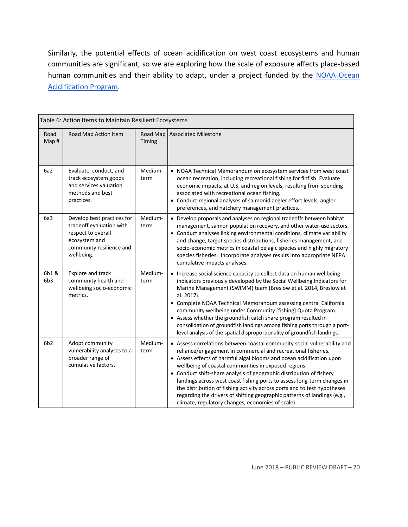Similarly, the potential effects of ocean acidification on west coast ecosystems and human communities are significant, so we are exploring how the scale of exposure affects place-based human communities and their ability to adapt, under a project funded by the NOAA Ocean Acidification Program.

| Table 6: Action Items to Maintain Resilient Ecosystems |                                                                                                                                         |                    |                                                                                                                                                                                                                                                                                                                                                                                                                                                                                                                                                                                                                                            |
|--------------------------------------------------------|-----------------------------------------------------------------------------------------------------------------------------------------|--------------------|--------------------------------------------------------------------------------------------------------------------------------------------------------------------------------------------------------------------------------------------------------------------------------------------------------------------------------------------------------------------------------------------------------------------------------------------------------------------------------------------------------------------------------------------------------------------------------------------------------------------------------------------|
| Road<br>Map #                                          | Road Map Action Item                                                                                                                    | Road Map<br>Timing | <b>Associated Milestone</b>                                                                                                                                                                                                                                                                                                                                                                                                                                                                                                                                                                                                                |
| 6a2                                                    | Evaluate, conduct, and<br>track ecosystem goods<br>and services valuation<br>methods and best<br>practices.                             | Medium-<br>term    | • NOAA Technical Memorandum on ecosystem services from west coast<br>ocean recreation, including recreational fishing for finfish. Evaluate<br>economic impacts, at U.S. and region levels, resulting from spending<br>associated with recreational ocean fishing.<br>• Conduct regional analyses of salmonid angler effort levels, angler<br>preferences, and hatchery management practices.                                                                                                                                                                                                                                              |
| 6a3                                                    | Develop best practices for<br>tradeoff evaluation with<br>respect to overall<br>ecosystem and<br>community resilience and<br>wellbeing. | Medium-<br>term    | • Develop proposals and analyses on regional tradeoffs between habitat<br>management, salmon population recovery, and other water-use sectors.<br>• Conduct analyses linking environmental conditions, climate variability<br>and change, target species distributions, fisheries management, and<br>socio-economic metrics in coastal pelagic species and highly migratory<br>species fisheries. Incorporate analyses results into appropriate NEPA<br>cumulative impacts analyses.                                                                                                                                                       |
| 6b1&<br>6b3                                            | Explore and track<br>community health and<br>wellbeing socio-economic<br>metrics.                                                       | Medium-<br>term    | • Increase social science capacity to collect data on human wellbeing<br>indicators previously developed by the Social Wellbeing Indicators for<br>Marine Management (SWIMM) team (Breslow et al. 2014, Breslow et<br>al. 2017).<br>• Complete NOAA Technical Memorandum assessing central California<br>community wellbeing under Community [fishing] Quota Program.<br>• Assess whether the groundfish catch share program resulted in<br>consolidation of groundfish landings among fishing ports through a port-<br>level analysis of the spatial disproportionality of groundfish landings.                                           |
| 6b <sub>2</sub>                                        | Adopt community<br>vulnerability analyses to a<br>broader range of<br>cumulative factors.                                               | Medium-<br>term    | • Assess correlations between coastal community social vulnerability and<br>reliance/engagement in commercial and recreational fisheries.<br>• Assess effects of harmful algal blooms and ocean acidification upon<br>wellbeing of coastal communities in exposed regions.<br>• Conduct shift-share analysis of geographic distribution of fishery<br>landings across west coast fishing ports to assess long-term changes in<br>the distribution of fishing activity across ports and to test hypotheses<br>regarding the drivers of shifting geographic patterns of landings (e.g.,<br>climate, regulatory changes, economies of scale). |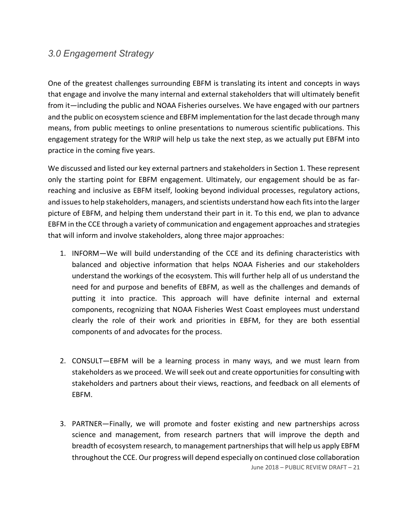# *3.0 Engagement Strategy*

 One of the greatest challenges surrounding EBFM is translating its intent and concepts in ways that engage and involve the many internal and external stakeholders that will ultimately benefit from it—including the public and NOAA Fisheries ourselves. We have engaged with our partners and the public on ecosystem science and EBFM implementation forthe last decade through many means, from public meetings to online presentations to numerous scientific publications. This engagement strategy for the WRIP will help us take the next step, as we actually put EBFM into practice in the coming five years.

 We discussed and listed our key external partners and stakeholders in Section 1. These represent only the starting point for EBFM engagement. Ultimately, our engagement should be as far- reaching and inclusive as EBFM itself, looking beyond individual processes, regulatory actions, and issues to help stakeholders, managers, and scientists understand how each fits into the larger picture of EBFM, and helping them understand their part in it. To this end, we plan to advance EBFM in the CCE through a variety of communication and engagement approaches and strategies that will inform and involve stakeholders, along three major approaches:

- 1. INFORM—We will build understanding of the CCE and its defining characteristics with balanced and objective information that helps NOAA Fisheries and our stakeholders understand the workings of the ecosystem. This will further help all of us understand the need for and purpose and benefits of EBFM, as well as the challenges and demands of putting it into practice. This approach will have definite internal and external components, recognizing that NOAA Fisheries West Coast employees must understand clearly the role of their work and priorities in EBFM, for they are both essential components of and advocates for the process.
- 2. CONSULT—EBFM will be a learning process in many ways, and we must learn from stakeholders as we proceed. We will seek out and create opportunities for consulting with stakeholders and partners about their views, reactions, and feedback on all elements of EBFM.
- June 2018 PUBLIC REVIEW DRAFT 21 3. PARTNER—Finally, we will promote and foster existing and new partnerships across science and management, from research partners that will improve the depth and breadth of ecosystem research, to management partnerships that will help us apply EBFM throughout the CCE. Our progress will depend especially on continued close collaboration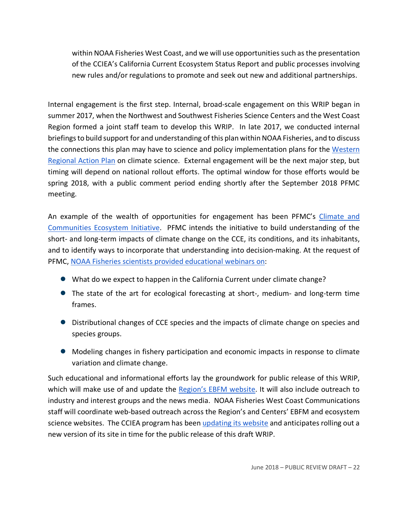within NOAA Fisheries West Coast, and we will use opportunities such as the presentation of the CCIEA's California Current Ecosystem Status Report and public processes involving new rules and/or regulations to promote and seek out new and additional partnerships.

 Internal engagement is the first step. Internal, broad-scale engagement on this WRIP began in summer 2017, when the Northwest and Southwest Fisheries Science Centers and the West Coast briefings to build support for and understanding of this plan within NOAA Fisheries, and to discuss the connections this plan may have to science and policy implementation plans for the Western timing will depend on national rollout efforts. The optimal window for those efforts would be spring 2018, with a public comment period ending shortly after the September 2018 PFMC Region formed a joint staff team to develop this WRIP. In late 2017, we conducted internal Regional Action Plan on climate science. External engagement will be the next major step, but meeting.

An example of the wealth of opportunities for engagement has been PFMC's *Climate and* Communities Ecosystem Initiative. PFMC intends the initiative to build understanding of the short- and long-term impacts of climate change on the CCE, its conditions, and its inhabitants, and to identify ways to incorporate that understanding into decision-making. At the request of PFMC, NOAA Fisheries scientists provided educational webinars on:

- What do we expect to happen in the California Current under climate change?
- The state of the art for ecological forecasting at short-, medium- and long-term time frames.
- ● Distributional changes of CCE species and the impacts of climate change on species and species groups.
- ● Modeling changes in fishery participation and economic impacts in response to climate variation and climate change.

 Such educational and informational efforts lay the groundwork for public release of this WRIP, which will make use of and update the **Region's EBFM website**. It will also include outreach to industry and interest groups and the news media. NOAA Fisheries West Coast Communications staff will coordinate web-based outreach across the Region's and Centers' EBFM and ecosystem science websites. The CCIEA program has been *updating its website* and anticipates rolling out a new version of its site in time for the public release of this draft WRIP.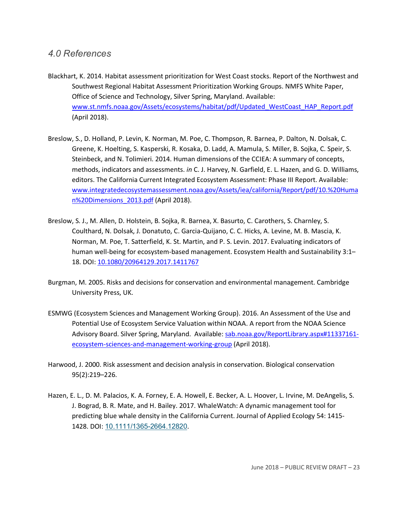### *4.0 References*

- Blackhart, K. 2014. Habitat assessment prioritization for West Coast stocks. Report of the Northwest and Southwest Regional Habitat Assessment Prioritization Working Groups. NMFS White Paper, Office of Science and Technology, Silver Spring, Maryland. Available: www.st.nmfs.noaa.gov/Assets/ecosystems/habitat/pdf/Updated\_WestCoast\_HAP\_Report.pdf (April 2018).
- Steinbeck, and N. Tolimieri. 2014. Human dimensions of the CCIEA: A summary of concepts, methods, indicators and assessments. *in* C. J. Harvey, N. Garfield, E. L. Hazen, and G. D. Williams, Breslow, S., D. Holland, P. Levin, K. Norman, M. Poe, C. Thompson, R. Barnea, P. Dalton, N. Dolsak, C. Greene, K. Hoelting, S. Kasperski, R. Kosaka, D. Ladd, A. Mamula, S. Miller, B. Sojka, C. Speir, S. editors. The California Current Integrated Ecosystem Assessment: Phase III Report. Available: www.integratedecosystemassessment.noaa.gov/Assets/iea/california/Report/pdf/10.%20Huma n%20Dimensions\_2013.pdf (April 2018).
- Breslow, S. J., M. Allen, D. Holstein, B. Sojka, R. Barnea, X. Basurto, C. Carothers, S. Charnley, S. Coulthard, N. Dolsak, J. Donatuto, C. Garcia-Quijano, C. C. Hicks, A. Levine, M. B. Mascia, K. Norman, M. Poe, T. Satterfield, K. St. Martin, and P. S. Levin. 2017. Evaluating indicators of human well-being for ecosystem-based management. Ecosystem Health and Sustainability 3:1– 18. DOI: 10.1080/20964129.2017.1411767
- Burgman, M. 2005. Risks and decisions for conservation and environmental management. Cambridge University Press, UK.
- Potential Use of Ecosystem Service Valuation within NOAA. A report from the NOAA Science Advisory Board. Silver Spring, Maryland. Available: sab.noaa.gov/ReportLibrary.aspx#11337161-ESMWG (Ecosystem Sciences and Management Working Group). 2016. An Assessment of the Use and ecosystem-sciences-and-management-working-group (April 2018).
- Harwood, J. 2000. Risk assessment and decision analysis in conservation. Biological conservation 95(2):219–226.
- Hazen, E. L., D. M. Palacios, K. A. Forney, E. A. Howell, E. Becker, A. L. Hoover, L. Irvine, M. DeAngelis, S. J. Bograd, B. R. Mate, and H. Bailey. 2017. WhaleWatch: A dynamic management tool for predicting blue whale density in the California Current. Journal of Applied Ecology 54: 1415- 1428. DOI: 10.1111/1365-2664.12820.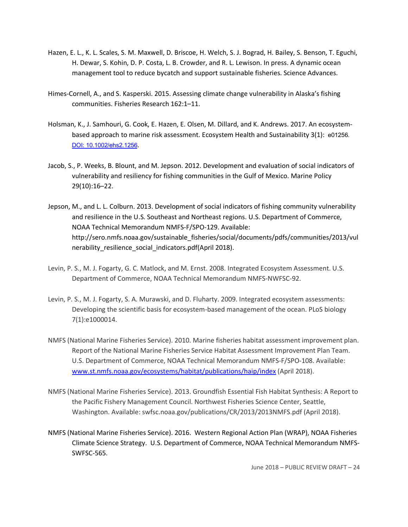- Hazen, E. L., K. L. Scales, S. M. Maxwell, D. Briscoe, H. Welch, S. J. Bograd, H. Bailey, S. Benson, T. Eguchi, H. Dewar, S. Kohin, D. P. Costa, L. B. Crowder, and R. L. Lewison. In press. A dynamic ocean management tool to reduce bycatch and support sustainable fisheries. Science Advances.
- communities. Fisheries Research 162:1–11. Himes-Cornell, A., and S. Kasperski. 2015. Assessing climate change vulnerability in Alaska's fishing
- Holsman, K., J. Samhouri, G. Cook, E. Hazen, E. Olsen, M. Dillard, and K. Andrews. 2017. An ecosystem- based approach to marine risk assessment. Ecosystem Health and Sustainability 3(1): e01256. DOI: 10.1002/ehs2.1256.
- vulnerability and resiliency for fishing communities in the Gulf of Mexico. Marine Policy Jacob, S., P. Weeks, B. Blount, and M. Jepson. 2012. Development and evaluation of social indicators of 29(10):16–22.
- Jepson, M., and L. L. Colburn. 2013. Development of social indicators of fishing community vulnerability NOAA Technical Memorandum NMFS-F/SPO-129. Available: and resilience in the U.S. Southeast and Northeast regions. U.S. Department of Commerce, http://sero.nmfs.noaa.gov/sustainable\_fisheries/social/documents/pdfs/communities/2013/vul nerability\_resilience\_social\_indicators.pdf(April 2018).
- Levin, P. S., M. J. Fogarty, G. C. Matlock, and M. Ernst. 2008. Integrated Ecosystem Assessment. U.S. Department of Commerce, NOAA Technical Memorandum NMFS-NWFSC-92.
- Levin, P. S., M. J. Fogarty, S. A. Murawski, and D. Fluharty. 2009. Integrated ecosystem assessments: Developing the scientific basis for ecosystem-based management of the ocean. PLoS biology 7(1):e1000014.
- NMFS (National Marine Fisheries Service). 2010. Marine fisheries habitat assessment improvement plan. U.S. Department of Commerce, NOAA Technical Memorandum NMFS-F/SPO-108. Available: Report of the National Marine Fisheries Service Habitat Assessment Improvement Plan Team. www.st.nmfs.noaa.gov/ecosystems/habitat/publications/haip/index (April 2018).
- NMFS (National Marine Fisheries Service). 2013. Groundfish Essential Fish Habitat Synthesis: A Report to Washington. Available: swfsc.noaa.gov/publications/CR/2013/2013NMFS.pdf (April 2018). the Pacific Fishery Management Council. Northwest Fisheries Science Center, Seattle,
- NMFS (National Marine Fisheries Service). 2016. Western Regional Action Plan (WRAP), NOAA Fisheries Climate Science Strategy. U.S. Department of Commerce, NOAA Technical Memorandum NMFS-SWFSC-565.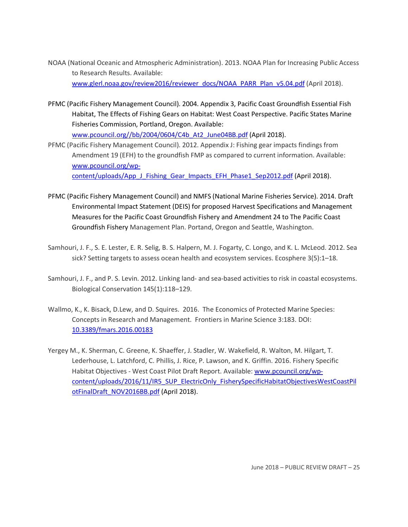- to Research Results. Available: NOAA (National Oceanic and Atmospheric Administration). 2013. NOAA Plan for Increasing Public Access www.glerl.noaa.gov/review2016/reviewer\_docs/NOAA\_PARR\_Plan\_v5.04.pdf (April 2018).
- PFMC (Pacific Fishery Management Council). 2004. Appendix 3, Pacific Coast Groundfish Essential Fish Habitat, The Effects of Fishing Gears on Habitat: West Coast Perspective. Pacific States Marine Fisheries Commission, Portland, Oregon. Available:

www.pcouncil.org//bb/2004/0604/C4b\_At2\_June04BB.pdf (April 2018).

 PFMC (Pacific Fishery Management Council). 2012. Appendix J: Fishing gear impacts findings from Amendment 19 (EFH) to the groundfish FMP as compared to current information. Available: www.pcouncil.org/wp-

content/uploads/App\_J\_Fishing\_Gear\_Impacts\_EFH\_Phase1\_Sep2012.pdf (April 2018).

- PFMC (Pacific Fishery Management Council) and NMFS (National Marine Fisheries Service). 2014. Draft Measures for the Pacific Coast Groundfish Fishery and Amendment 24 to The Pacific Coast Environmental Impact Statement (DEIS) for proposed Harvest Specifications and Management Groundfish Fishery Management Plan. Portand, Oregon and Seattle, Washington.
- Samhouri, J. F., S. E. Lester, E. R. Selig, B. S. Halpern, M. J. Fogarty, C. Longo, and K. L. McLeod. 2012. Sea sick? Setting targets to assess ocean health and ecosystem services. Ecosphere 3(5):1–18.
- Samhouri, J. F., and P. S. Levin. 2012. Linking land- and sea-based activities to risk in coastal ecosystems. Biological Conservation 145(1):118–129.
- Wallmo, K., K. Bisack, D.Lew, and D. Squires. 2016. The Economics of Protected Marine Species: Concepts in Research and Management. Frontiers in Marine Science 3:183. DOI: 10.3389/fmars.2016.00183
- Lederhouse, L. Latchford, C. Phillis, J. Rice, P. Lawson, and K. Griffin. 2016. Fishery Specific Habitat Objectives - West Coast Pilot Draft Report. Available: www.pcouncil.org/wp-Yergey M., K. Sherman, C. Greene, K. Shaeffer, J. Stadler, W. Wakefield, R. Walton, M. Hilgart, T. content/uploads/2016/11/IR5\_SUP\_ElectricOnly\_FisherySpecificHabitatObjectivesWestCoastPil otFinalDraft\_NOV2016BB.pdf (April 2018).